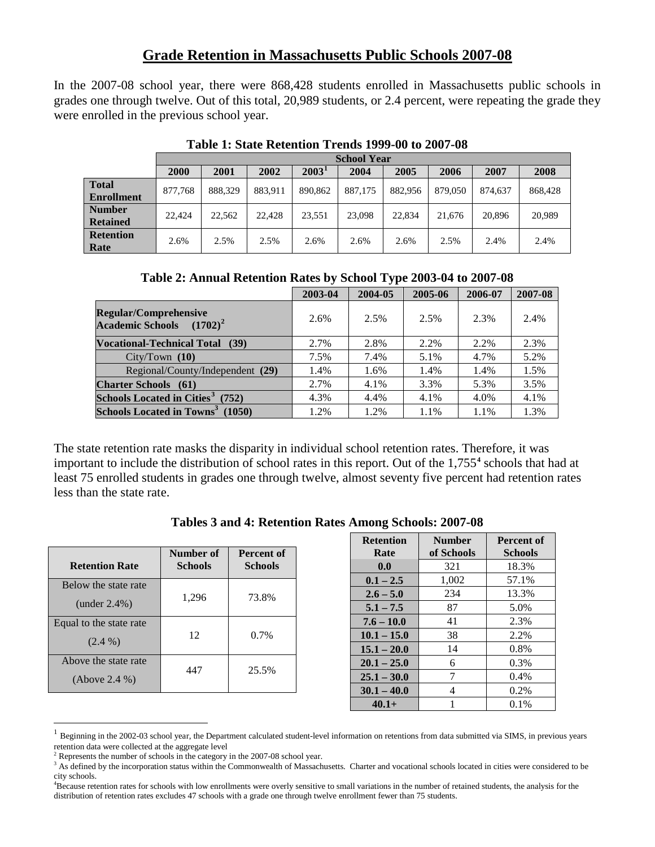## **Grade Retention in Massachusetts Public Schools 2007-08**

In the 2007-08 school year, there were 868,428 students enrolled in Massachusetts public schools in grades one through twelve. Out of this total, 20,989 students, or 2.4 percent, were repeating the grade they were enrolled in the previous school year.

|                   | <b>School Year</b> |         |         |                   |         |         |         |         |         |
|-------------------|--------------------|---------|---------|-------------------|---------|---------|---------|---------|---------|
|                   | 2000               | 2001    | 2002    | 2003 <sup>1</sup> | 2004    | 2005    | 2006    | 2007    | 2008    |
| <b>Total</b>      | 877,768            | 888,329 | 883,911 | 890,862           | 887,175 | 882.956 | 879,050 | 874,637 | 868,428 |
| <b>Enrollment</b> |                    |         |         |                   |         |         |         |         |         |
| <b>Number</b>     | 22,424             | 22,562  | 22,428  | 23,551            | 23,098  | 22,834  | 21.676  | 20,896  | 20.989  |
| <b>Retained</b>   |                    |         |         |                   |         |         |         |         |         |
| <b>Retention</b>  | 2.6%               | 2.5%    | 2.5%    | 2.6%              | 2.6%    | 2.6%    | 2.5%    | 2.4%    | 2.4%    |
| Rate              |                    |         |         |                   |         |         |         |         |         |

**Table 1: State Retention Trends 1999-00 to 2007-08**

|                                                             | 2003-04 | 2004-05 | 2005-06 | 2006-07 | 2007-08 |
|-------------------------------------------------------------|---------|---------|---------|---------|---------|
| <b>Regular/Comprehensive</b><br>Academic Schools $(1702)^2$ | 2.6%    | 2.5%    | 2.5%    | 2.3%    | 2.4%    |
| <b>Vocational-Technical Total</b><br>(39)                   | 2.7%    | 2.8%    | 2.2%    | 2.2%    | 2.3%    |
| City/ Town (10)                                             | 7.5%    | 7.4%    | 5.1%    | 4.7%    | 5.2%    |
| Regional/County/Independent (29)                            | 1.4%    | 1.6%    | 1.4%    | 1.4%    | 1.5%    |
| <b>Charter Schools</b> (61)                                 | 2.7%    | 4.1%    | 3.3%    | 5.3%    | 3.5%    |
| Schools Located in Cities <sup>3</sup> (752)                | 4.3%    | 4.4%    | 4.1%    | 4.0%    | 4.1%    |
| Schools Located in Towns <sup>3</sup> (1050)                | 1.2%    | 1.2%    | 1.1%    | 1.1%    | 1.3%    |

The state retention rate masks the disparity in individual school retention rates. Therefore, it was important to include the distribution of school rates in this report. Out of the 1,755**[4](#page-0-0)** schools that had at least 75 enrolled students in grades one through twelve, almost seventy five percent had retention rates less than the state rate.

## **Tables 3 and 4: Retention Rates Among Schools: 2007-08**

|                         |                |                | <b>Retention</b> | <b>Number</b> | <b>Percent of</b> |
|-------------------------|----------------|----------------|------------------|---------------|-------------------|
|                         | Number of      | Percent of     | Rate             | of Schools    | <b>Schools</b>    |
| <b>Retention Rate</b>   | <b>Schools</b> | <b>Schools</b> | 0.0              | 321           | 18.3%             |
| Below the state rate    |                |                | $0.1 - 2.5$      | 1,002         | 57.1%             |
|                         | 1,296          | 73.8%          | $2.6 - 5.0$      | 234           | 13.3%             |
| $(under 2.4\%)$         |                |                | $5.1 - 7.5$      | 87            | 5.0%              |
| Equal to the state rate |                |                | $7.6 - 10.0$     | 41            | 2.3%              |
|                         | 12             | $0.7\%$        | $10.1 - 15.0$    | 38            | 2.2%              |
| $(2.4\%)$               |                |                | $15.1 - 20.0$    | 14            | 0.8%              |
| Above the state rate    |                |                | $20.1 - 25.0$    | 6             | $0.3\%$           |
| (Above 2.4%)            | 447            | 25.5%          | $25.1 - 30.0$    | 7             | $0.4\%$           |
|                         |                |                | $30.1 - 40.0$    | 4             | $0.2\%$           |
|                         |                |                | $40.1+$          |               | 0.1%              |

<span id="page-0-1"></span> <sup>1</sup> Beginning in the 2002-03 school year, the Department calculated student-level information on retentions from data submitted via SIMS, in previous years retention data were collected at the aggregate level

<span id="page-0-3"></span><span id="page-0-2"></span> $3$  Represents the number of schools in the category in the 2007-08 school year.<br> $3$  As defined by the incorporation status within the Commonwealth of Massachusetts. Charter and vocational schools located in cities were c city schools.

<span id="page-0-0"></span><sup>4</sup> Because retention rates for schools with low enrollments were overly sensitive to small variations in the number of retained students, the analysis for the distribution of retention rates excludes 47 schools with a grade one through twelve enrollment fewer than 75 students.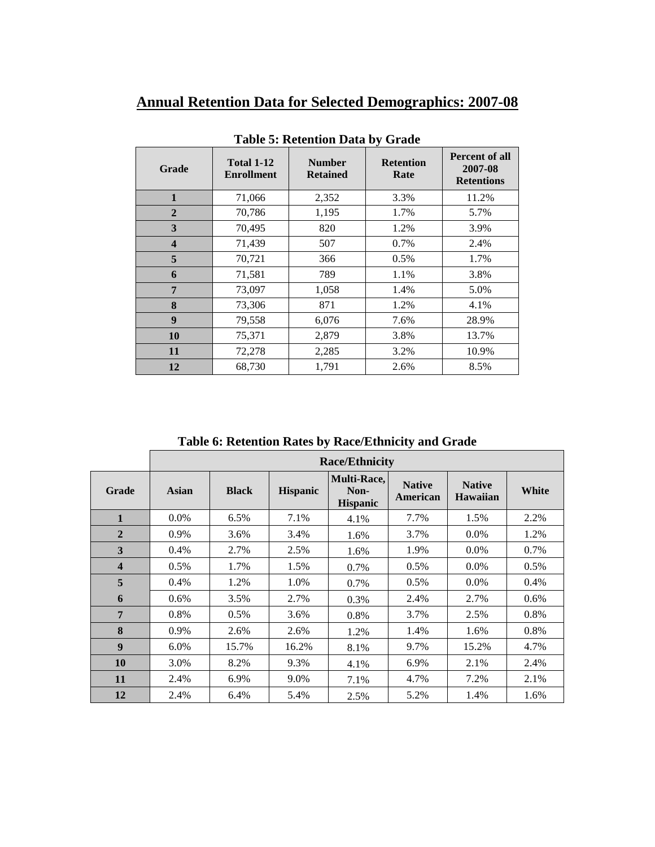# **Annual Retention Data for Selected Demographics: 2007-08**

| <b>Grade</b>            | <b>Total 1-12</b><br><b>Enrollment</b> | <b>Number</b><br><b>Retained</b> | <b>Retention</b><br>Rate | Percent of all<br>2007-08<br><b>Retentions</b> |
|-------------------------|----------------------------------------|----------------------------------|--------------------------|------------------------------------------------|
| $\mathbf{1}$            | 71,066                                 | 2,352                            | 3.3%                     | 11.2%                                          |
| $\overline{2}$          | 70,786                                 | 1,195                            | 1.7%                     | 5.7%                                           |
| 3                       | 70,495                                 | 820                              | 1.2%                     | 3.9%                                           |
| $\overline{\mathbf{4}}$ | 71,439                                 | 507                              | 0.7%                     | 2.4%                                           |
| 5                       | 70,721                                 | 366                              | 0.5%                     | 1.7%                                           |
| 6                       | 71,581                                 | 789                              | 1.1%                     | 3.8%                                           |
| 7                       | 73,097                                 | 1,058                            | 1.4%                     | 5.0%                                           |
| 8                       | 73,306                                 | 871                              | 1.2%                     | 4.1%                                           |
| 9                       | 79,558                                 | 6,076                            | 7.6%                     | 28.9%                                          |
| <b>10</b>               | 75,371                                 | 2,879                            | 3.8%                     | 13.7%                                          |
| 11                      | 72,278                                 | 2,285                            | 3.2%                     | 10.9%                                          |
| 12                      | 68,730                                 | 1,791                            | 2.6%                     | 8.5%                                           |

**Table 5: Retention Data by Grade**

**Table 6: Retention Rates by Race/Ethnicity and Grade**

|                         | <b>Race/Ethnicity</b> |              |                 |                                        |                           |                                  |         |
|-------------------------|-----------------------|--------------|-----------------|----------------------------------------|---------------------------|----------------------------------|---------|
| <b>Grade</b>            | Asian                 | <b>Black</b> | <b>Hispanic</b> | Multi-Race,<br>Non-<br><b>Hispanic</b> | <b>Native</b><br>American | <b>Native</b><br><b>Hawaiian</b> | White   |
| $\mathbf{1}$            | $0.0\%$               | $6.5\%$      | 7.1%            | 4.1%                                   | 7.7%                      | 1.5%                             | 2.2%    |
| $\overline{2}$          | 0.9%                  | 3.6%         | 3.4%            | 1.6%                                   | 3.7%                      | $0.0\%$                          | 1.2%    |
| 3                       | 0.4%                  | 2.7%         | 2.5%            | 1.6%                                   | 1.9%                      | 0.0%                             | 0.7%    |
| $\overline{\mathbf{4}}$ | 0.5%                  | 1.7%         | 1.5%            | 0.7%                                   | $0.5\%$                   | $0.0\%$                          | 0.5%    |
| 5                       | 0.4%                  | 1.2%         | 1.0%            | 0.7%                                   | $0.5\%$                   | $0.0\%$                          | 0.4%    |
| 6                       | $0.6\%$               | 3.5%         | 2.7%            | 0.3%                                   | 2.4%                      | 2.7%                             | $0.6\%$ |
| $\overline{7}$          | 0.8%                  | 0.5%         | 3.6%            | 0.8%                                   | 3.7%                      | 2.5%                             | 0.8%    |
| 8                       | 0.9%                  | 2.6%         | 2.6%            | 1.2%                                   | 1.4%                      | 1.6%                             | 0.8%    |
| $\boldsymbol{9}$        | 6.0%                  | 15.7%        | 16.2%           | 8.1%                                   | 9.7%                      | 15.2%                            | 4.7%    |
| 10                      | 3.0%                  | 8.2%         | 9.3%            | 4.1%                                   | 6.9%                      | 2.1%                             | 2.4%    |
| 11                      | 2.4%                  | 6.9%         | 9.0%            | 7.1%                                   | 4.7%                      | 7.2%                             | 2.1%    |
| 12                      | 2.4%                  | 6.4%         | 5.4%            | 2.5%                                   | 5.2%                      | 1.4%                             | 1.6%    |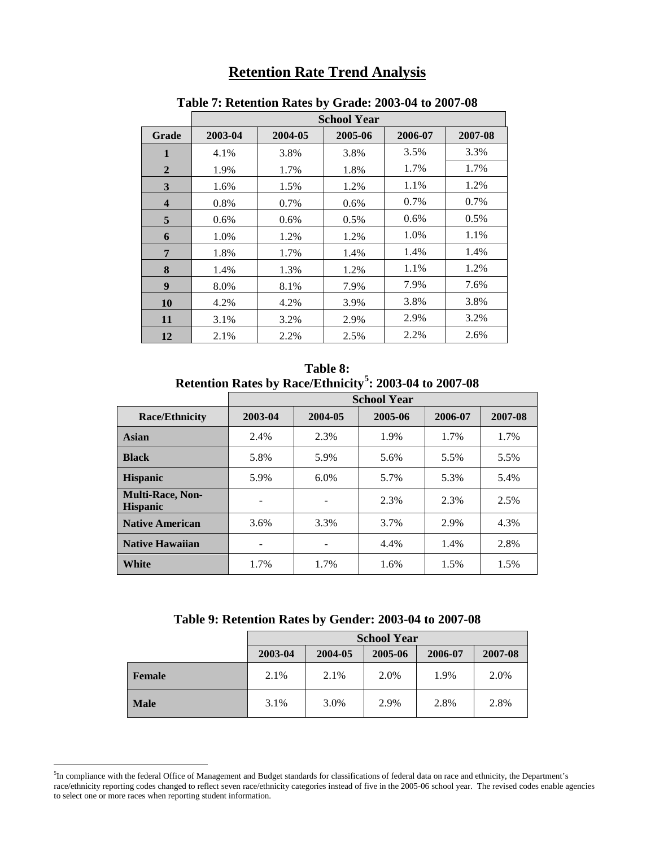## **Retention Rate Trend Analysis**

|                         | <b>School Year</b> |         |         |         |         |  |  |
|-------------------------|--------------------|---------|---------|---------|---------|--|--|
| Grade                   | 2003-04            | 2004-05 | 2005-06 | 2006-07 | 2007-08 |  |  |
| $\mathbf{1}$            | 4.1%               | 3.8%    | 3.8%    | 3.5%    | 3.3%    |  |  |
| $\overline{2}$          | 1.9%               | 1.7%    | 1.8%    | 1.7%    | 1.7%    |  |  |
| 3                       | 1.6%               | 1.5%    | 1.2%    | 1.1%    | 1.2%    |  |  |
| $\overline{\mathbf{4}}$ | 0.8%               | 0.7%    | $0.6\%$ | 0.7%    | 0.7%    |  |  |
| 5                       | $0.6\%$            | $0.6\%$ | 0.5%    | $0.6\%$ | $0.5\%$ |  |  |
| 6                       | 1.0%               | 1.2%    | 1.2%    | 1.0%    | 1.1%    |  |  |
| 7                       | 1.8%               | 1.7%    | 1.4%    | 1.4%    | 1.4%    |  |  |
| 8                       | 1.4%               | 1.3%    | 1.2%    | 1.1%    | 1.2%    |  |  |
| 9                       | 8.0%               | 8.1%    | 7.9%    | 7.9%    | 7.6%    |  |  |
| <b>10</b>               | 4.2%               | 4.2%    | 3.9%    | 3.8%    | 3.8%    |  |  |
| 11                      | 3.1%               | 3.2%    | 2.9%    | 2.9%    | 3.2%    |  |  |
| 12                      | 2.1%               | 2.2%    | 2.5%    | 2.2%    | 2.6%    |  |  |

### **Table 7: Retention Rates by Grade: 2003-04 to 2007-08**

**Table 8: Retention Rates by Race/Ethnicity[5](#page-2-0) : 2003-04 to 2007-08**

|                                            | <b>School Year</b> |         |         |         |         |  |
|--------------------------------------------|--------------------|---------|---------|---------|---------|--|
| <b>Race/Ethnicity</b>                      | 2003-04            | 2004-05 | 2005-06 | 2006-07 | 2007-08 |  |
| Asian                                      | 2.4%               | 2.3%    | 1.9%    | 1.7%    | 1.7%    |  |
| <b>Black</b>                               | 5.8%               | 5.9%    | 5.6%    | 5.5%    | 5.5%    |  |
| <b>Hispanic</b>                            | 5.9%               | 6.0%    | 5.7%    | 5.3%    | 5.4%    |  |
| <b>Multi-Race, Non-</b><br><b>Hispanic</b> | -                  | -       | 2.3%    | 2.3%    | 2.5%    |  |
| <b>Native American</b>                     | 3.6%               | 3.3%    | 3.7%    | 2.9%    | 4.3%    |  |
| <b>Native Hawaiian</b>                     | ۰                  |         | 4.4%    | 1.4%    | 2.8%    |  |
| White                                      | 1.7%               | 1.7%    | 1.6%    | 1.5%    | 1.5%    |  |

**Table 9: Retention Rates by Gender: 2003-04 to 2007-08**

|               | <b>School Year</b> |         |         |         |         |  |
|---------------|--------------------|---------|---------|---------|---------|--|
|               | 2003-04            | 2004-05 | 2005-06 | 2006-07 | 2007-08 |  |
| <b>Female</b> | 2.1%               | 2.1%    | 2.0%    | 1.9%    | 2.0%    |  |
| <b>Male</b>   | 3.1%               | 3.0%    | 2.9%    | 2.8%    | 2.8%    |  |

<span id="page-2-0"></span> <sup>5</sup> <sup>5</sup>In compliance with the federal Office of Management and Budget standards for classifications of federal data on race and ethnicity, the Department's race/ethnicity reporting codes changed to reflect seven race/ethnicity categories instead of five in the 2005-06 school year. The revised codes enable agencies to select one or more races when reporting student information.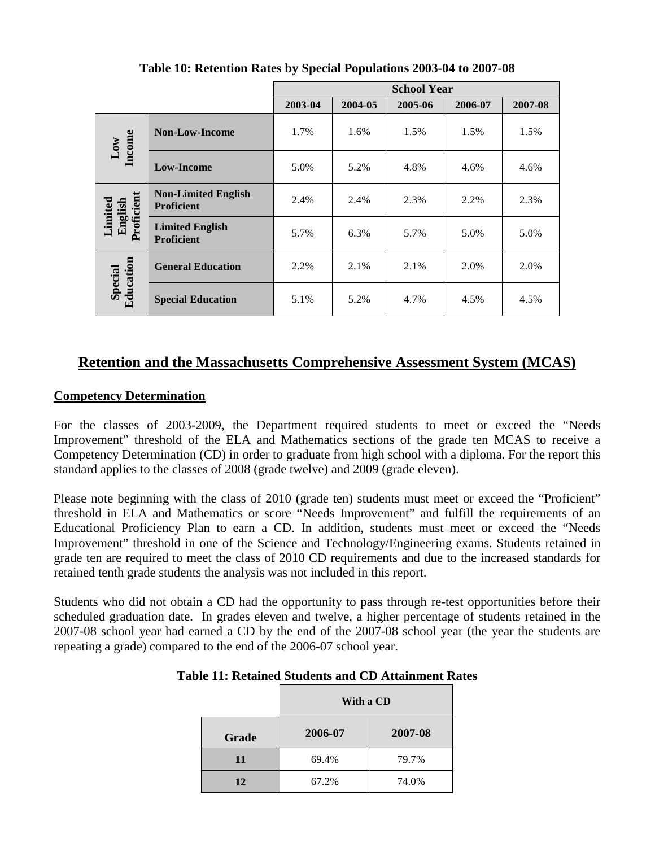|                      |                                                 |         |         | <b>School Year</b> |         |         |
|----------------------|-------------------------------------------------|---------|---------|--------------------|---------|---------|
|                      |                                                 | 2003-04 | 2004-05 | 2005-06            | 2006-07 | 2007-08 |
| Low<br>Income        | <b>Non-Low-Income</b>                           | 1.7%    | 1.6%    | 1.5%               | 1.5%    | 1.5%    |
|                      | <b>Low-Income</b>                               | 5.0%    | 5.2%    | 4.8%               | 4.6%    | 4.6%    |
| Limited<br>English   | <b>Non-Limited English</b><br><b>Proficient</b> | 2.4%    | 2.4%    | 2.3%               | 2.2%    | 2.3%    |
| Proficient           | <b>Limited English</b><br><b>Proficient</b>     | 5.7%    | 6.3%    | 5.7%               | 5.0%    | 5.0%    |
|                      | <b>General Education</b>                        | 2.2%    | 2.1%    | 2.1%               | 2.0%    | 2.0%    |
| Special<br>Education | <b>Special Education</b>                        | 5.1%    | 5.2%    | 4.7%               | 4.5%    | 4.5%    |

**Table 10: Retention Rates by Special Populations 2003-04 to 2007-08**

## **Retention and the Massachusetts Comprehensive Assessment System (MCAS)**

### **Competency Determination**

For the classes of 2003-2009, the Department required students to meet or exceed the "Needs Improvement" threshold of the ELA and Mathematics sections of the grade ten MCAS to receive a Competency Determination (CD) in order to graduate from high school with a diploma. For the report this standard applies to the classes of 2008 (grade twelve) and 2009 (grade eleven).

Please note beginning with the class of 2010 (grade ten) students must meet or exceed the "Proficient" threshold in ELA and Mathematics or score "Needs Improvement" and fulfill the requirements of an Educational Proficiency Plan to earn a CD. In addition, students must meet or exceed the "Needs Improvement" threshold in one of the Science and Technology/Engineering exams. Students retained in grade ten are required to meet the class of 2010 CD requirements and due to the increased standards for retained tenth grade students the analysis was not included in this report.

Students who did not obtain a CD had the opportunity to pass through re-test opportunities before their scheduled graduation date. In grades eleven and twelve, a higher percentage of students retained in the 2007-08 school year had earned a CD by the end of the 2007-08 school year (the year the students are repeating a grade) compared to the end of the 2006-07 school year.

| <b>Table 11: Retained Students and CD Attainment Rates</b> |  |  |  |  |
|------------------------------------------------------------|--|--|--|--|
|------------------------------------------------------------|--|--|--|--|

|       | With a CD |         |  |  |  |
|-------|-----------|---------|--|--|--|
| Grade | 2006-07   | 2007-08 |  |  |  |
| 11    | 69.4%     | 79.7%   |  |  |  |
| 12    | 67.2%     | 74.0%   |  |  |  |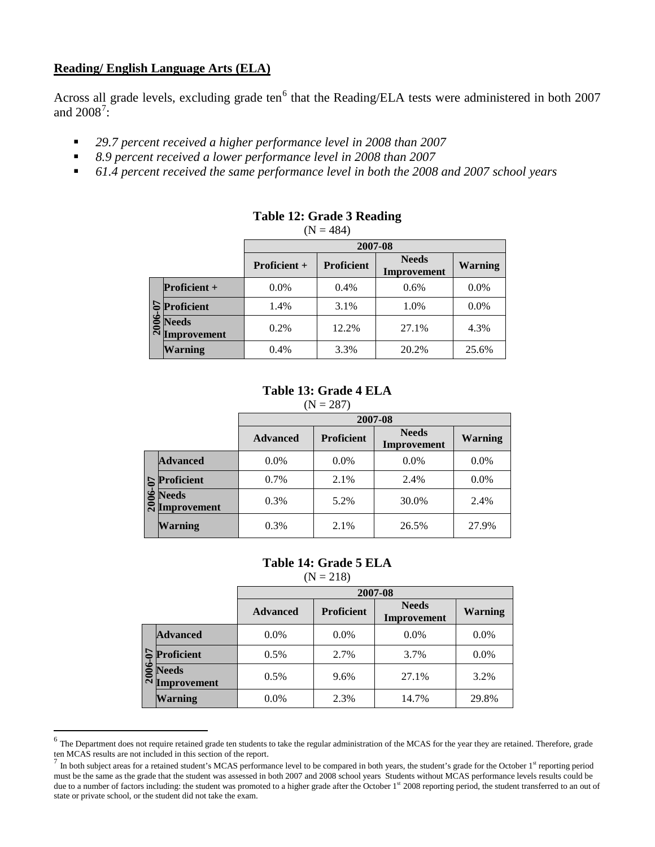### **Reading/ English Language Arts (ELA)**

Across all grade levels, excluding grade ten $<sup>6</sup>$  $<sup>6</sup>$  $<sup>6</sup>$  that the Reading/ELA tests were administered in both 2007</sup> and  $2008^7$  $2008^7$ :

- *29.7 percent received a higher performance level in 2008 than 2007*
- *8.9 percent received a lower performance level in 2008 than 2007*
- *61.4 percent received the same performance level in both the 2008 and 2007 school years*

|         |                                    | 2007-08             |                   |                             |                |
|---------|------------------------------------|---------------------|-------------------|-----------------------------|----------------|
|         |                                    | <b>Proficient +</b> | <b>Proficient</b> | <b>Needs</b><br>Improvement | <b>Warning</b> |
|         | <b>Proficient</b> +                | $0.0\%$             | 0.4%              | 0.6%                        | 0.0%           |
|         | Proficient                         | 1.4%                | 3.1%              | 1.0%                        | 0.0%           |
| فا<br>3 | <b>Needs</b><br>$\sim$ Improvement | 0.2%                | 12.2%             | 27.1%                       | 4.3%           |
|         | <b>Warning</b>                     | 0.4%                | 3.3%              | 20.2%                       | 25.6%          |

## **Table 12: Grade 3 Reading**

 $(N = 484)$ 

## **Table 13: Grade 4 ELA**

|       |                                    |                 | 2007-08           |                             |                |  |  |
|-------|------------------------------------|-----------------|-------------------|-----------------------------|----------------|--|--|
|       |                                    | <b>Advanced</b> | <b>Proficient</b> | <b>Needs</b><br>Improvement | <b>Warning</b> |  |  |
| 2006- | <b>Advanced</b>                    | $0.0\%$         | $0.0\%$           | $0.0\%$                     | $0.0\%$        |  |  |
|       | $\mathbf{S}$ Proficient            | 0.7%            | 2.1%              | 2.4%                        | $0.0\%$        |  |  |
|       | <b>Needs</b><br><b>Improvement</b> | 0.3%            | 5.2%              | 30.0%                       | 2.4%           |  |  |
|       | <b>Warning</b>                     | 0.3%            | 2.1%              | 26.5%                       | 27.9%          |  |  |

## **Table 14: Grade 5 ELA**

 $(N = 218)$ 

|  |                                                        | 2007-08         |                   |                             |                |  |
|--|--------------------------------------------------------|-----------------|-------------------|-----------------------------|----------------|--|
|  |                                                        | <b>Advanced</b> | <b>Proficient</b> | <b>Needs</b><br>Improvement | <b>Warning</b> |  |
|  | <b>Advanced</b>                                        | $0.0\%$         | $0.0\%$           | 0.0%                        | $0.0\%$        |  |
|  | $\mathsf{S}\$ Proficient                               | 0.5%            | 2.7%              | 3.7%                        | $0.0\%$        |  |
|  | $\frac{1}{\infty}$ Needs<br>$\tilde{\sim}$ Improvement | 0.5%            | 9.6%              | 27.1%                       | 3.2%           |  |
|  | <b>Warning</b>                                         | $0.0\%$         | 2.3%              | 14.7%                       | 29.8%          |  |

<span id="page-4-0"></span><sup>&</sup>lt;sup>6</sup> The Department does not require retained grade ten students to take the regular administration of the MCAS for the year they are retained. Therefore, grade ten MCAS results are not included in this section of the repor

<span id="page-4-1"></span>In both subject areas for a retained student's MCAS performance level to be compared in both years, the student's grade for the October 1st reporting period must be the same as the grade that the student was assessed in both 2007 and 2008 school years Students without MCAS performance levels results could be due to a number of factors including: the student was promoted to a higher grade after the October 1<sup>st</sup> 2008 reporting period, the student transferred to an out of state or private school, or the student did not take the exam.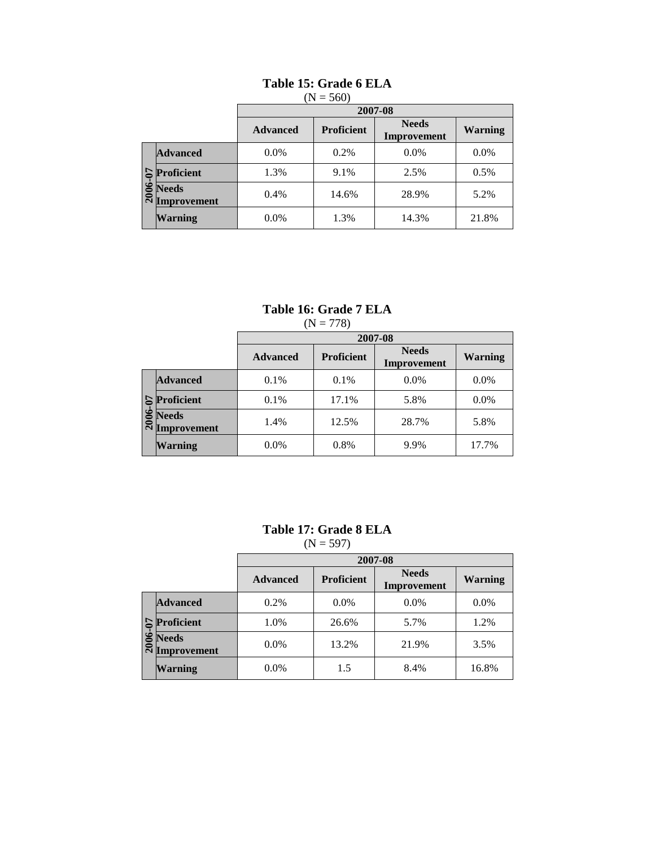|       |                             | $(1N = 500)$    |                   |                             |                |  |
|-------|-----------------------------|-----------------|-------------------|-----------------------------|----------------|--|
|       |                             |                 |                   | 2007-08                     |                |  |
|       |                             | <b>Advanced</b> | <b>Proficient</b> | <b>Needs</b><br>Improvement | <b>Warning</b> |  |
| $-07$ | <b>Advanced</b>             | $0.0\%$         | 0.2%              | $0.0\%$                     | $0.0\%$        |  |
|       | Proficient                  | 1.3%            | 9.1%              | 2.5%                        | 0.5%           |  |
|       | <b>Needs</b><br>Improvement | 0.4%            | 14.6%             | 28.9%                       | 5.2%           |  |
|       | <b>Warning</b>              | $0.0\%$         | 1.3%              | 14.3%                       | 21.8%          |  |

#### **Table 15: Grade 6 ELA**  $(N - 560)$

### **Table 16: Grade 7 ELA**  $(N = 778)$

|              |                             |                 | 2007-08           |                             |                |  |
|--------------|-----------------------------|-----------------|-------------------|-----------------------------|----------------|--|
|              |                             | <b>Advanced</b> | <b>Proficient</b> | <b>Needs</b><br>Improvement | <b>Warning</b> |  |
| $\mathbf{C}$ | <b>Advanced</b>             | 0.1%            | 0.1%              | $0.0\%$                     | $0.0\%$        |  |
|              | Proficient                  | 0.1%            | 17.1%             | 5.8%                        | 0.0%           |  |
|              | <b>Needs</b><br>Improvement | 1.4%            | 12.5%             | 28.7%                       | 5.8%           |  |
|              | <b>Warning</b>              | $0.0\%$         | 0.8%              | 9.9%                        | 17.7%          |  |

# **Table 17: Grade 8 ELA**

 $(N = 597)$ 

|       |                             | 2007-08         |                   |                             |                |  |
|-------|-----------------------------|-----------------|-------------------|-----------------------------|----------------|--|
|       |                             | <b>Advanced</b> | <b>Proficient</b> | <b>Needs</b><br>Improvement | <b>Warning</b> |  |
|       | <b>Advanced</b>             | 0.2%            | 0.0%              | 0.0%                        | $0.0\%$        |  |
| 5     | Proficient                  | 1.0%            | 26.6%             | 5.7%                        | 1.2%           |  |
| 2006- | <b>Needs</b><br>Improvement | $0.0\%$         | 13.2%             | 21.9%                       | 3.5%           |  |
|       | <b>Warning</b>              | $0.0\%$         | 1.5               | 8.4%                        | 16.8%          |  |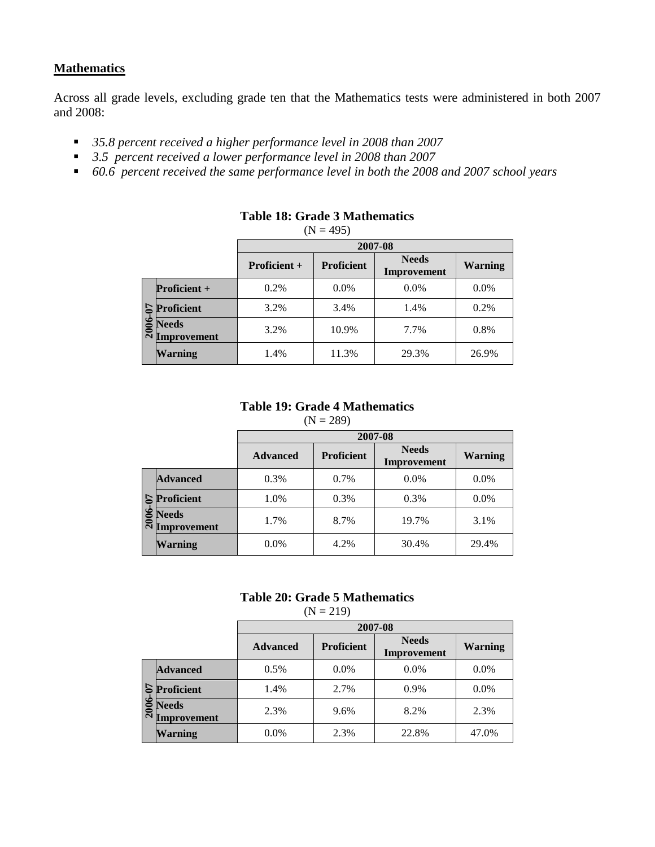## **Mathematics**

Across all grade levels, excluding grade ten that the Mathematics tests were administered in both 2007 and 2008:

- *35.8 percent received a higher performance level in 2008 than 2007*
- *3.5 percent received a lower performance level in 2008 than 2007*
- *60.6 percent received the same performance level in both the 2008 and 2007 school years*

|    |                                             | 2007-08             |                   |                             |                |  |
|----|---------------------------------------------|---------------------|-------------------|-----------------------------|----------------|--|
|    |                                             | <b>Proficient +</b> | <b>Proficient</b> | <b>Needs</b><br>Improvement | <b>Warning</b> |  |
|    | <b>Proficient</b> $+$                       | 0.2%                | $0.0\%$           | $0.0\%$                     | $0.0\%$        |  |
| 5  | <b>Proficient</b>                           | 3.2%                | 3.4%              | 1.4%                        | 0.2%           |  |
| خە | <b>Needs</b><br>$\sum_{k=1}^{\infty}$ Needs | 3.2%                | 10.9%             | 7.7%                        | 0.8%           |  |
|    | <b>Warning</b>                              | 1.4%                | 11.3%             | 29.3%                       | 26.9%          |  |

## **Table 18: Grade 3 Mathematics**

 $(N = 495)$ 

### **Table 19: Grade 4 Mathematics**

|                |                                    |                 | 2007-08           |                             |                |  |
|----------------|------------------------------------|-----------------|-------------------|-----------------------------|----------------|--|
|                |                                    | <b>Advanced</b> | <b>Proficient</b> | <b>Needs</b><br>Improvement | <b>Warning</b> |  |
|                | <b>Advanced</b>                    | 0.3%            | 0.7%              | $0.0\%$                     | $0.0\%$        |  |
|                | Proficient                         | 1.0%            | 0.3%              | 0.3%                        | $0.0\%$        |  |
| $\overline{N}$ | <b>Needs</b><br><b>Improvement</b> | 1.7%            | 8.7%              | 19.7%                       | 3.1%           |  |
|                | <b>Warning</b>                     | $0.0\%$         | 4.2%              | 30.4%                       | 29.4%          |  |

### **Table 20: Grade 5 Mathematics**

 $(N = 219)$ 

|                             | 2007-08         |                   |                             |                |
|-----------------------------|-----------------|-------------------|-----------------------------|----------------|
|                             | <b>Advanced</b> | <b>Proficient</b> | <b>Needs</b><br>Improvement | <b>Warning</b> |
| <b>Advanced</b>             | 0.5%            | $0.0\%$           | $0.0\%$                     | $0.0\%$        |
| Proficient                  | 1.4%            | 2.7%              | $0.9\%$                     | $0.0\%$        |
| <b>Needs</b><br>Improvement | 2.3%            | 9.6%              | 8.2%                        | 2.3%           |
| <b>Warning</b>              | $0.0\%$         | 2.3%              | 22.8%                       | 47.0%          |